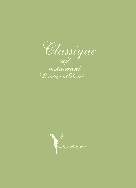Classique<br>café<br>restaurant Boutique Hotel

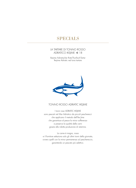# SPECIALS

## LA TARTARE DI TONNO ROSSO ADRIATICO IKEJIME € 18

Ikejime Adriatischer Rote-Thunfisch-Tartar Ikejime Adriatic red tuna tartare



# TONNO ROSSO ADRIATIC IKEJIME

I tonni rossi ADRIATIC IKEJIME sono pescati nel Mar Adriatico da piccoli pescherecci che applicano il metodo dell'Ike Jime che garantisce al pesce la minor sofferenza e preserva la qualità delle carni grazie alla ridotta produzione di istamina.

La carne è magra, rossa e il fornitore seleziona solo gli ultimi tonni della giornata, ovvero quelli con la minor permanenza sul peschereccio, garantendo un pescato più selettivo.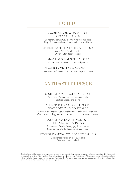# I CRUDI

## CAVIALE SIBERIAN ADAMAS 10 GR BURRO E BLINIS  $\in$  24

Sibirischer Adamas Caviar 10gr mit Butter und Blinis 10gr of Siberian adamas Caviar with butter and blinis

OSTRICHE "UTAH BEACH" SPECIAL 1 PZ  $\in$  4 Auster "Utah Beach" Spezial Oysters "Utah Beach" special

GAMBERI ROSSI MAZARA 1 PZ € 3.5 Mazara Rote Garnelen - Mazara red prawns

TARTARE DI GAMBERI ROSSI MAZARA € 18 Rotes Mazara-Garnelentartar - Red Mazara prawn tartare

# ANTIPASTI DI PESCE

### SAUTÈE DI COZZE E VONGOLE  $\in$  14.5

Sautinierte Miesmuscheln und Venusmuscheln Sautéed mussels and clams

### L'INSALATA DI POLPO, OLIVE DI TAGGIA, PATATE E DATTERINO CONFIT  $\epsilon$  15

Krakensalat, Taggia-Oliven, Kartoffeln und Confit-Datterino-Tomaten Octopus salad, Taggia olives, potatoes and confit datterino tomatoes

> SARDE DEL GARDA AI TRE MODI  $\in$  13 FRITTE, ALLA GRIGLIA, IN SAOR Sardinen aus Garda, frittiert, gegrillt und in saor Sardines from Garda, fried, grilled and in saor

COCKTAIL DI MAZZANCOLLE 80'S STYLE € 13.5 Garnelencocktail im Stil der 80er Jahre 80's style prawn cocktail

Gentile cliente, le informazioni circa la presenza di sostanze o di prodotti che provocano allergie o intolleranze sono disponibili rivolgendosi al personale in servizio. / Sehr geehrter Gast, Informationen zu Substanzen und Produkten, die Allergien oder Unverträglichkeiten auslösen können, erhalten Sie auf Nachfrage von unserem Diensthabenden Personal. / Dear guest, you can also ask our staff on duty for information on substances and products that can provoke allergies or intolerances.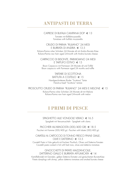# ANTIPASTI DI TERRA

#### CAPRESE DI BUFALA CAMPANA DOP  $\in$  13

Tomaten mit Büffelmozzarella Tomatoes with buffalo mozzarella

### CRUDO DI PARMA "RULIANO" 24 MESI E BURRATA DI ANDRIA  $\in$  13.5

Ruliano-Parma roher Schinken 24 Monate alt mit Andria Burrata Käse Ruliano-Parma raw ham aged 24-month with Andria burrata cheese

### CARPACCIO DI BISONTE, PARMIGIANO 24 MESI E TARTUFO ESTIVO € 15

Bison Carpaccio mit Parmesan 24 Monate alt und Trüffel Bison carpaccio with Parmesan aged 24 months and truffle

#### TARTARE DI SCOTTONA BATTUTA A COLTELLO  $\in$  15

Handgeschnittenes Rinder "Scottona" Tartar Hand-cut beef "Scottona" tartare

#### PROSCIUTTO CRUDO DI PARMA "RULIANO" 24 MESI E MELONE € 15

Ruliano-Parma roher Schinken 24 Monate alt mit Melone Ruliano-Parma raw ham aged 24-month with melon

# I PRIMI DI PESCE

# SPAGHETTO ALLE VONGOLE VERACI  $\in$  16.5

Spaghetti mit Venusmuscheln - Spaghetti with clams

### PACCHERI ALL'ARAGOSTA (300/400 GR) € 18.5 Paccheri mit Hummer (300/400 gr) - Paccheri with lobster (300/400 gr)

CAVATELLI AL CARTOCCIO DI TONNO FRESCO PINNE GIALLE, OLIVE E DATTERINO  $\in$  13.5

Cavatelli Pasta in Folie gekocht mit frischem Thunfisch, Oliven und Datterino-Tomaten Cavatelli pasta cooked in foil with fresh tuna, olives and datterino tomatoes

# GNOCCHETTI DI PATATE MAZZANCOLLE, DATTERINO GIALLO E BURRATA AFFUMICATA € 14

Kartoffelknödel mit Garnelen, gelben Datterino-Tomaten und geräuchertem Burrata-Käse Potato dumplings with shrimp, yellow datterino tomatoes and smoked burrata cheese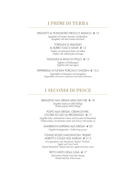# I PRIMI DI TERRA

# SPAGHETTI AL POMODORO FRESCO E BASILICO € 12

Spaghetti mit frischen Tomaten und Basilikum Spaghetti with fresh tomato and basil

#### TORTELLINI DI VALEGGIO AL BURRO FUSO E SALVIA € 12

Tortellini mit zerlassener Butter und Salbei Tortellini with melted butter and sage

#### TAGLIOLINI AL RAGÙ DI VITELLO  $\in$  12

Tagliolini mit Kalbsragout Tagliolini with veal ragout

PAPPARDELLE AI FUNGHI PORCINI E CHIODINI  $\in$  13.5

Pappardelle mit Steinpilzen und Honigpilzen Pappardelle with porcini mushrooms and honey mishrooms

# I SECONDI DI PESCE

BRANZINO ALLA GRIGLIA (400/600 GR)  $\in$  18 Gegrillter Seebarsch (400/600gr) Grilled seabass (400/600gr)

# POLPO ALLA GRIGLIA, CREMA DI FAVE, CICORIA ED OLIO AL PREZZEMOLO € 17

Gegrillte Krake, Ackerbohnen Creme und Chicorée mit Petersilienöl Grilled octopus, broad beans cream and chicory with parsley oil

GAMBERONI IMPERIALI ALLA GRIGLIA € 20 Gegrillte Kaisergarnelen - Grilled king prawns

### TONNO ROSSO MACKINTOSH "IKEJIME" AGRETTI E COULIS AGLI AGRUMI € 21.5

Kurz gebratener roter Mackintosh "Ikejime" Thunfisch, Agretti und Citrus Coulis Seared Mackintosh "Ikejime"red tuna, agretti and citrus coulis

## FRITTO MISTO DELLA CASA  $\in$  17

Gemischter frittierter Fisch des Hauses Mixed fried fish of the house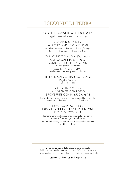# I SECONDI DI TERRA

COSTOLETTE D'AGNELLO ALLA BRACE € 17.5 Gegrillte Lammkoteletts - Grilled lamb chops

COSTATA DI SCOTTONA ALLA GRIGLIA (450/500 GR)  $\in$  20 Gegrilltes Scottona Rindfleisch Steak (450/500 gr) Grilled Scottona beef steak (450/500 gr)

### TAGLIATA RIBEYE DI BLACK ANGUS (250 GR) CON CHIODINI, PORCINI € 23

Geschnittenes Rindfleisch Black Angus 250 gr mit Honigpilzen, Steinpilzen Sliced Black Angus beef 250 gr with honey mushrooms, porcini mushrooms

#### FILETTO DI MANZO ALLA BRACE  $\in$  21.5

Gegrilltes Rinderfilet Grilled beef fillet

### COTOLETTA DI VITELLO ALLA MILANESE CON L'OSSO E PATATE FRITTE CON LA BUCCIA  $\in$  18

Mailänder Kalbskotolett-Paniert mit Knochen und Pommes Frites Milanese veal cutlet with bone and french fries

# PLUMA DI MAIALINO IBERICO, RADICCHIO STUFATO, FUNGHI DI STAGIONE E POLENTA FRITTA  $\in$  19

Iberische Schweinefleischpluma, gedünsteter Radicchio, saisonale Pilze und gebratene Polenta Iberian pork pluma, stewed radicchio, seasonal mushrooms and fried polenta

#### In mancanza di prodotto fresco si serve surgelato

Fehlt das Frischprodukt wird es durch ein Tiefkühlprodukt ersetzt Frozen products may be used when fresh products are not available

Coperto - Gedeck - Cover charge € 2.5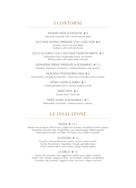# I CONTORNI

INSALATA MISTA DI STAGIONE  $\epsilon$  6 Gemischter saisonaler Salat - Mixed seasonal salad

ZUCCHINE NOVELLE SPADELLATE CON I LORO FIORI  $\epsilon$  6

Sautierten Zucchini mit ihren Blüten Sautéed zucchini with their flowers

ZUCCA AL FORNO CON LISUOI SEMI TOSTATI ED ERBETTE  $\in$  5

Gebackener Kürbis mit gerösteten Kernen und Kräutern Baked pumpkin with toasted seeds and herbs

MELANZANE PERLINE SPADELLATE AL ROSMARINO  $\epsilon$  5.5 Gebratene Auberginen mit Rosmarin - Sautéed aubergines with rosemary

FAGIOLINI E POMODORINI GIALLI  $\epsilon$  6 Grüne Bohnen und gelbe Kirschtomaten - Green beans and yellow cherry tomatoes

> SPINACI SALTATI AL BURRO € 5 In Butter gebratener Spinat - Spinach sautéed in butter

> > PATATE FRITTE  $\epsilon$  5 Pommes frittes - French fries

PATATE SALTATE AL ROSMARINO  $\in$  5 Bratkartoffeln mit Rosmarin - Potatoes tossed in rosemary

# LE INSALATONE

## BUFALA  $\in$  13.5

Insalata mista di stagione, filetti di tonno, cipolla rossa di tropea, mozzarella di bufala campana Gemischter saisonaler Salat, Thunfischfilets, rote Tropea-Zwiebel, Büffelmozzarella Mixed seasonal salad, tuna fillets, red Tropea onion, buffalo mozzarella

### LA LEGGERA  $\in$  14

Finocchio, salmone affumicato, caprino, arancia, sesamo tostato Fenchel, Räucherlachs, Ziegenkäse, Orange, gerösteter Sesam Fennel, smoked salmon, goat cheese, orange, toasted sesame

## LA GRECA € 13

Cetrioli, feta, pomodori, olive taggiasche, cipolla rossa, origano e basilico Gurken, Feta, Tomaten, Taggiasca-Oliven, rote Zwiebeln, Oregano und Basilikum Cucumbers, feta, tomatoes, Taggiasca olives, red onion, oregano and basil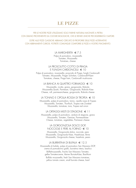# LE PIZZE

PER LE NOSTRE PIZZE UTILIZZIAMO SOLO FARINE NATURALI MACINATE A PIETRA CON GRANO PROVENIENTE DA COLTURE BIOLOGICHE, CHE LE RENDE UNICHE PER DIGERIBILITÀ E SAPORE.

OLTRE ALLE PIZZE CLASSICHE ABBIAMO CERCATO DI PROPORRE DELLE PIZZE ALTERNATIVE CON ABBINAMENTI CURIOSI. POTRETE COMUNQUE COMPORRE LE PIZZE A VOSTRO PIACIMENTO.

### LA MARGHERITA  $\in$  7.5

Polpa di pomodoro, mozzarella Tomaten, Mozzarella Tomatoes, cheese

## LA PROSCIUTTO COTTO DI PRAGA E FUNGHI CARDONCELLI € 10

Polpa di pomodoro, mozzarella, prosciutto di Praga, funghi Cardoncelli Tomaten, Mozzarella, Prager Schinken, Cardoncelli-Pilzen Tomatoes, cheese, Praga ham, Cardoncelli mushrooms

#### LA BIANCA AI QUATTRO FORMAGGI  $\in$  10

Mozzarella, ricotta, grana, gorgonzola, Robiola Mozzarella,Quark, Parmesan, Gorgonzola, Robiola Käse Cheese, roft, parmesancheese, gorgonzola, Robiola cheese

### LA TONNO E CIPOLLA ROSSA DI TROPEA € 10

Mozzarella, polpa di pomodoro, tonno, cipolla rossa di Tropea Mozzarella, Tomaten, Thunfisch, Tropea rote Zwiebel Mozzarella, tomatoes, tuna, Tropea red onion

#### LA ORTAGGI MISTI DI STAGIONE € 11

Mozzarella, polpa di pomodoro, verdure di stagione, grana Mozzarella, Tomaten, Gemüse, Parmesankäse Cheese, tomatoes, vegetables, Parmesan cheese

### LA GORGONZOLA DOLCE DOP, NOCCIOLE E PERE AL FORNO  $\in$  10

Mozzarella, Gorgonzola dolce, nocciole, pere Mozzarella, Gorgonzola Käse, Haselnüsse, Birne Mozzarella, Gorgonzola cheese, hazelnuts, pears

#### LA BURRATINA DI BUFALA € 12.5

Mozzarella di bufala, polpa di pomodoro San Marzano DOP, crema di pomodorino giallo, burratina intera, basilico Büffelmozzarella, frische San Marzano Tomaten, gelbe Tomatencreme, kleiner Burrata-Käse, Basilikum Buffalo mozzarella, fresh San Marzano tomatoes, yellow tomato cream, small burrata cheese, basil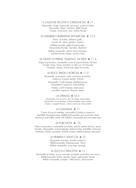# IL CALZONE RICOTTA E CARDONCELLI € 11

Mozzarella, funghi cardoncelli, prosciutto, ricotta di bufala Mozzarella, Pilzen, Schinken, Büffel Quark Cheese, mushrooms, ham, buffalo Ricotta

#### LA GAMBERI E BURRATINA AFFUMICATA  $\in$  12.5

Mozz. di bufala, datterino giallo, burrata aff. intera, gamberi, basilico Büffelmozzarella, gelbe Kirschtomaten, Geräucherter Burrata, Garnelen, Basilikum Buffalo mozzarella, yellow cherry tomatoes, smoked burrata cheese, prawns, basil

#### LA CRUDO DI PARMA "RULIANO" 24 MESI € 11.5

Polpa di pomodoro, mozzarella, crudo di parma Ruliano 24 mesi Tomaten, Käse, Parma Schinken im alter von 24 Monaten Tomatoes, cheese, Parma ham aged 24 months

#### LA PESCE SPADA E ROBIOLA  $\in$  11.5

Mozzarella, pomodorini confit, emulsione di basilico, carpaccio di pesce spada, Robiola

Mozzarella, Confit Tomaten, Basilikumsauce, Schwertfisch Carpaccio, Robiola-Käse Cheese, confit tomatoes, basil sauce,

swordfish carpaccio, Robiola cheese

#### LA STRAUSS  $\in$  10.5

Mozzarella, fiori di zucca, alici di Cetara, Stracciatella Mozzarella, Zucchiniblüten, Cetara-Sardellen, Stracciatella Cheese, courgette flowers, Cetara anchovies, Stracciatella

## LA CLASSIQUE  $\in$  11

Crema di porcini tartufata, mozzarella di bufala e carpaccio Getrüffelte Steinpilzecreme, Büffelkuh-Mozzarella und mariniertes Fleish Mushroom and truffles cream with buffalo's mozzarella and marinade meat

## LA PORCHETTA € 10

Polpa di pomodoro, mozzarella, porchetta, robiola, patate al forno, grana Tomaten, Mozzarella, Schweinebraten, Robiola Käse, Kartoffeln, Parmesan Tomatoes, cheese, porchetta, Robiola cheese, baked potatoes, parmesan

### LA FRIARIELLI E SALSICCIA € 10

Mozzarella di bufala, friarielli e salsiccia Büffelmozzarella, Rübensprossen, Wurst Buffalo mozzarella, turnip tops, sausage

### LA ZUCCA E PANCETTA  $\in$  11

Mozzarella di bufala, zucca, pancetta arrotolata, pomodoro semi secco Büffelmozzarella, Kürbis, gerollter Speck, getrocknete Tomate Buffalo mozzarella, pumpkin, rolled bacon, dried tomato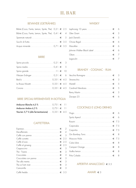# BEVANDE (GETRÄNKE)

| Bibite (Coca, Fanta, Lemon, Sprite, The) 0,21. € 2.5                |  |
|---------------------------------------------------------------------|--|
| Bibite (Coca, Fanta, Lemon, Sprite, The). 0,4 l. € 4                |  |
| Spremute naturali $\ldots \ldots \ldots \ldots \ldots \ldots \in 5$ |  |
|                                                                     |  |
| Acqua minerale 0,7 l . € 3.5                                        |  |

# BIRRE

| Spina piccola $\ldots \ldots \ldots \ldots \ldots \ldots 0,2$   $\epsilon$ 3 |  |
|------------------------------------------------------------------------------|--|
|                                                                              |  |
| Spina grande $\dots\dots\dots\dots\dots\dots\dots\dots\dots$                 |  |
| Weizen Erdinger 0,5 $\mathsf{I} \cdot \mathsf{E}$ 6                          |  |
|                                                                              |  |
|                                                                              |  |
|                                                                              |  |

# BIRRE SPECIALI RIFERMENTATE IN BOTTIGLIA

| Amburon Blanche $4.5\%$ 0.75   $\in$                                      |  |
|---------------------------------------------------------------------------|--|
| Amburon Ambre 6,3 % 0,75   . $\in$ 1                                      |  |
| Vaurien 5,7 % (alta fermentazione) $\therefore$ 0,33 $\theta$ . $\in$ 4.5 |  |

# **CAFFETTERIA**

|                                                                            | $\overline{2}$ |
|----------------------------------------------------------------------------|----------------|
|                                                                            | $\overline{2}$ |
|                                                                            | 3              |
| Caffè corretto $\dots\dots\dots\dots\dots\dots\dots\dots\in$               | 2.5            |
|                                                                            |                |
| Caffè al ginseng $\dots \dots \dots \dots \dots \dots \in$                 | 2.5            |
|                                                                            | 3              |
|                                                                            | 3              |
|                                                                            | 3              |
| Cioccolata con panna $\ldots \ldots \ldots \ldots \ldots \in$              | 3              |
|                                                                            | 3              |
| The ai frutti misti $\ldots \ldots \ldots \ldots \ldots \ldots \ldots \in$ | 3              |
|                                                                            | 3              |
|                                                                            |                |

# **WHISKY**

| Laphroaig 10 years $\dots\dots\dots\dots\dots\dots\in$ 6 |  |
|----------------------------------------------------------|--|
|                                                          |  |
|                                                          |  |
|                                                          |  |
|                                                          |  |
| Johnnie Walker Black Label € 6                           |  |
|                                                          |  |
|                                                          |  |
|                                                          |  |

# BRANDY - COGNAC - RUM

| Vecchia Romagna $\ldots \ldots \ldots \ldots \ldots \in$ 3           |  |
|----------------------------------------------------------------------|--|
|                                                                      |  |
|                                                                      |  |
| Cardinal Mendoza $\epsilon$ 5                                        |  |
| Remy Martin $\ldots \ldots \ldots \ldots \ldots \ldots \ldots \in 5$ |  |
|                                                                      |  |
|                                                                      |  |

# COCKTAILS E LONG DRINKS

|                                                                  | 6  |
|------------------------------------------------------------------|----|
|                                                                  | 6  |
|                                                                  |    |
|                                                                  |    |
|                                                                  |    |
| Gin Bombay Tonic $\ldots\ldots\ldots\ldots\ldots\ldots\ldots\in$ | -8 |
|                                                                  |    |
|                                                                  | 8  |
|                                                                  | 8  |
|                                                                  | 8  |
|                                                                  | 8  |
|                                                                  |    |

# APERITIVI ANALCOLICI  $\epsilon$  3.5

AMARI  $\epsilon$  3